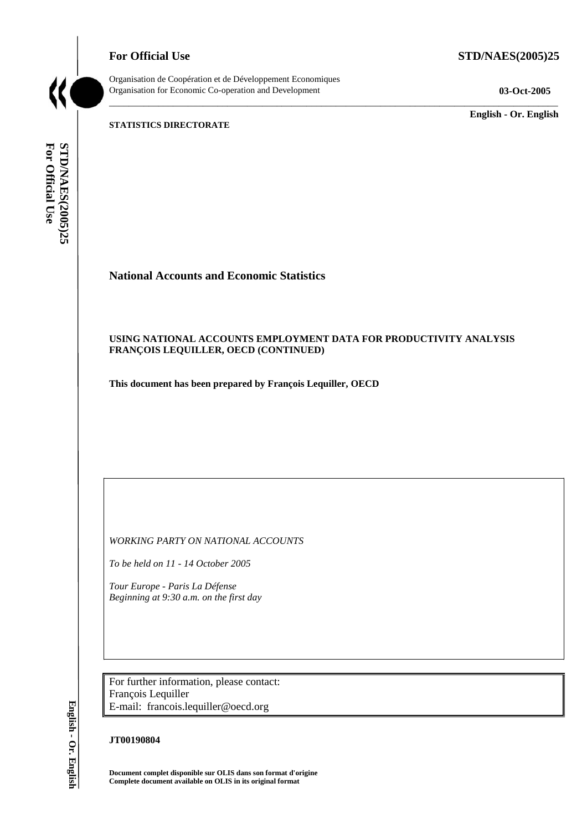**For Official Use STD/NAES(2005)25** 



Organisation de Coopération et de Développement Economiques Organisation for Economic Co-operation and Development **03-Oct-2005** 

\_\_\_\_\_\_\_\_\_\_\_\_\_ **English - Or. English** 

**STATISTICS DIRECTORATE** 

For Official Use **STD/NAES(2005)25 For Official Use STD/NAES(2005)25 English - Or. English**

# **National Accounts and Economic Statistics**

# **USING NATIONAL ACCOUNTS EMPLOYMENT DATA FOR PRODUCTIVITY ANALYSIS FRANÇOIS LEQUILLER, OECD (CONTINUED)**

\_\_\_\_\_\_\_\_\_\_\_\_\_\_\_\_\_\_\_\_\_\_\_\_\_\_\_\_\_\_\_\_\_\_\_\_\_\_\_\_\_\_\_\_\_\_\_\_\_\_\_\_\_\_\_\_\_\_\_\_\_\_\_\_\_\_\_\_\_\_\_\_\_\_\_\_\_\_\_\_\_\_\_\_\_\_\_\_\_\_\_

**This document has been prepared by François Lequiller, OECD** 

*WORKING PARTY ON NATIONAL ACCOUNTS* 

*To be held on 11 - 14 October 2005* 

*Tour Europe - Paris La Défense Beginning at 9:30 a.m. on the first day* 

For further information, please contact: François Lequiller E-mail: francois.lequiller@oecd.org

## **JT00190804**

**Document complet disponible sur OLIS dans son format d'origine Complete document available on OLIS in its original format** 

English - Or. English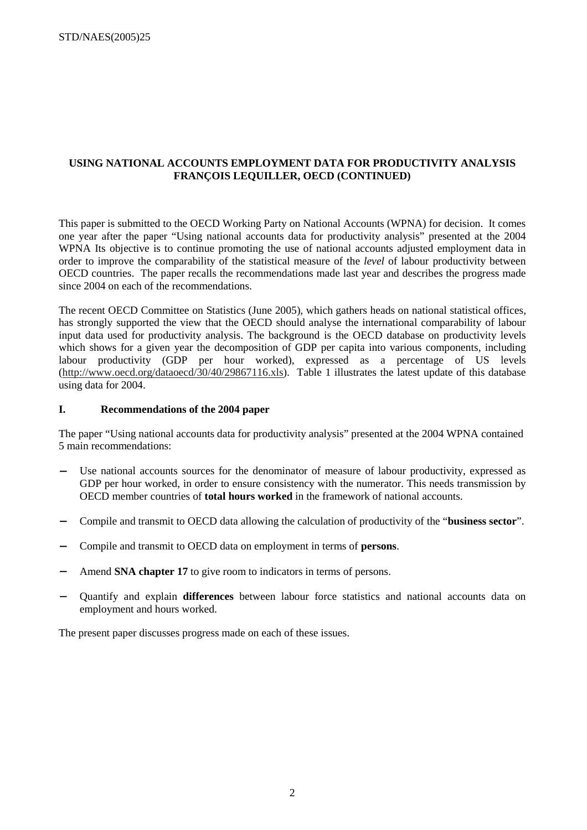# **USING NATIONAL ACCOUNTS EMPLOYMENT DATA FOR PRODUCTIVITY ANALYSIS FRANÇOIS LEQUILLER, OECD (CONTINUED)**

This paper is submitted to the OECD Working Party on National Accounts (WPNA) for decision. It comes one year after the paper "Using national accounts data for productivity analysis" presented at the 2004 WPNA Its objective is to continue promoting the use of national accounts adjusted employment data in order to improve the comparability of the statistical measure of the *level* of labour productivity between OECD countries. The paper recalls the recommendations made last year and describes the progress made since 2004 on each of the recommendations.

The recent OECD Committee on Statistics (June 2005), which gathers heads on national statistical offices, has strongly supported the view that the OECD should analyse the international comparability of labour input data used for productivity analysis. The background is the OECD database on productivity levels which shows for a given year the decomposition of GDP per capita into various components, including labour productivity (GDP per hour worked), expressed as a percentage of US levels (http://www.oecd.org/dataoecd/30/40/29867116.xls). Table 1 illustrates the latest update of this database using data for 2004.

#### **I. Recommendations of the 2004 paper**

The paper "Using national accounts data for productivity analysis" presented at the 2004 WPNA contained 5 main recommendations:

- Use national accounts sources for the denominator of measure of labour productivity, expressed as GDP per hour worked, in order to ensure consistency with the numerator. This needs transmission by OECD member countries of **total hours worked** in the framework of national accounts.
- − Compile and transmit to OECD data allowing the calculation of productivity of the "**business sector**".
- − Compile and transmit to OECD data on employment in terms of **persons**.
- Amend **SNA chapter 17** to give room to indicators in terms of persons.
- − Quantify and explain **differences** between labour force statistics and national accounts data on employment and hours worked.

The present paper discusses progress made on each of these issues.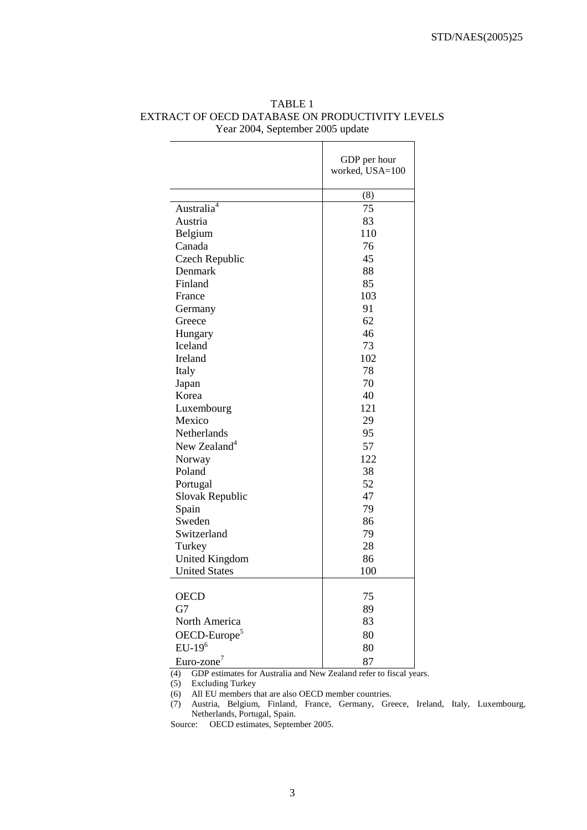|                             | GDP per hour    |
|-----------------------------|-----------------|
|                             | worked, USA=100 |
|                             |                 |
|                             | (8)             |
| Australia <sup>4</sup>      | 75              |
| Austria                     | 83              |
| Belgium                     | 110             |
| Canada                      | 76              |
| Czech Republic              | 45              |
| Denmark                     | 88              |
| Finland                     | 85              |
| France                      | 103             |
| Germany                     | 91              |
| Greece                      | 62              |
| Hungary                     | 46              |
| Iceland                     | 73              |
| Ireland                     | 102             |
| Italy                       | 78              |
| Japan                       | 70              |
| Korea                       | 40              |
| Luxembourg                  | 121             |
| Mexico                      | 29              |
| Netherlands                 | 95              |
| New Zealand <sup>4</sup>    | 57              |
| Norway                      | 122             |
| Poland                      | 38              |
| Portugal                    | 52              |
| Slovak Republic             | 47              |
| Spain                       | 79              |
| Sweden                      | 86              |
| Switzerland                 | 79              |
| Turkey                      | 28              |
| <b>United Kingdom</b>       | 86              |
| <b>United States</b>        | 100             |
|                             |                 |
| <b>OECD</b>                 | 75              |
| G7                          | 89              |
| North America               | 83              |
| $OECD$ -Europe <sup>5</sup> | 80              |
| $EU-196$                    | 80              |
| Euro-zone <sup>7</sup>      | 87              |

# TABLE 1 EXTRACT OF OECD DATABASE ON PRODUCTIVITY LEVELS Year 2004, September 2005 update

(4) GDP estimates for Australia and New Zealand refer to fiscal years.

(5) Excluding Turkey

(6) All EU members that are also OECD member countries.

(7) Austria, Belgium, Finland, France, Germany, Greece, Ireland, Italy, Luxembourg, Netherlands, Portugal, Spain.

Source: OECD estimates, September 2005.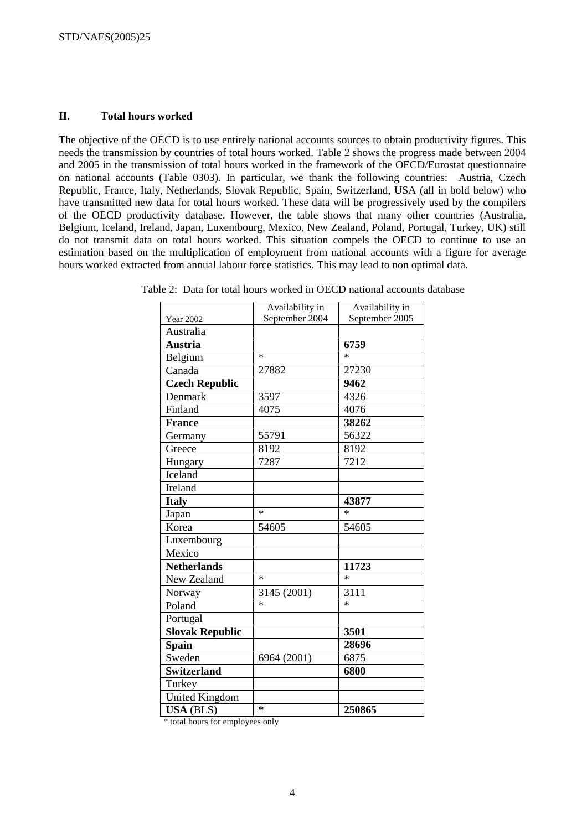#### **II. Total hours worked**

The objective of the OECD is to use entirely national accounts sources to obtain productivity figures. This needs the transmission by countries of total hours worked. Table 2 shows the progress made between 2004 and 2005 in the transmission of total hours worked in the framework of the OECD/Eurostat questionnaire on national accounts (Table 0303). In particular, we thank the following countries: Austria, Czech Republic, France, Italy, Netherlands, Slovak Republic, Spain, Switzerland, USA (all in bold below) who have transmitted new data for total hours worked. These data will be progressively used by the compilers of the OECD productivity database. However, the table shows that many other countries (Australia, Belgium, Iceland, Ireland, Japan, Luxembourg, Mexico, New Zealand, Poland, Portugal, Turkey, UK) still do not transmit data on total hours worked. This situation compels the OECD to continue to use an estimation based on the multiplication of employment from national accounts with a figure for average hours worked extracted from annual labour force statistics. This may lead to non optimal data.

|                        | Availability in | Availability in |
|------------------------|-----------------|-----------------|
| <b>Year 2002</b>       | September 2004  | September 2005  |
| Australia              |                 |                 |
| <b>Austria</b>         |                 | 6759            |
| Belgium                | $\ast$          | $\ast$          |
| Canada                 | 27882           | 27230           |
| <b>Czech Republic</b>  |                 | 9462            |
| Denmark                | 3597            | 4326            |
| Finland                | 4075            | 4076            |
| <b>France</b>          |                 | 38262           |
| Germany                | 55791           | 56322           |
| Greece                 | 8192            | 8192            |
| Hungary                | 7287            | 7212            |
| Iceland                |                 |                 |
| Ireland                |                 |                 |
| <b>Italy</b>           |                 | 43877           |
| Japan                  | $\ast$          | $\ast$          |
| Korea                  | 54605           | 54605           |
| Luxembourg             |                 |                 |
| Mexico                 |                 |                 |
| <b>Netherlands</b>     |                 | 11723           |
| New Zealand            | $\ast$          | $\ast$          |
| Norway                 | 3145 (2001)     | 3111            |
| Poland                 | $\ast$          | $\ast$          |
| Portugal               |                 |                 |
| <b>Slovak Republic</b> |                 | 3501            |
| <b>Spain</b>           |                 | 28696           |
| Sweden                 | 6964 (2001)     | 6875            |
| <b>Switzerland</b>     |                 | 6800            |
| Turkey                 |                 |                 |
| <b>United Kingdom</b>  |                 |                 |
| <b>USA</b> (BLS)       | $\ast$          | 250865          |

Table 2: Data for total hours worked in OECD national accounts database

\* total hours for employees only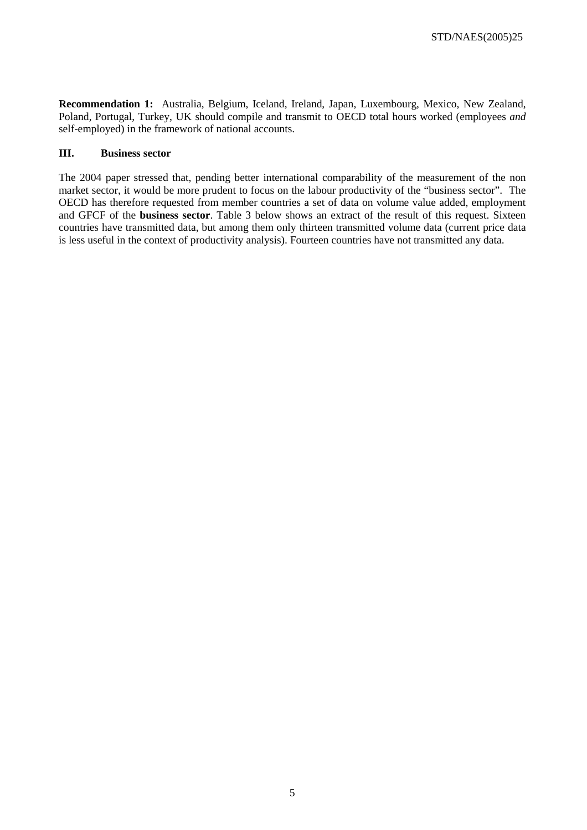**Recommendation 1:** Australia, Belgium, Iceland, Ireland, Japan, Luxembourg, Mexico, New Zealand, Poland, Portugal, Turkey, UK should compile and transmit to OECD total hours worked (employees *and*  self-employed) in the framework of national accounts.

#### **III. Business sector**

The 2004 paper stressed that, pending better international comparability of the measurement of the non market sector, it would be more prudent to focus on the labour productivity of the "business sector". The OECD has therefore requested from member countries a set of data on volume value added, employment and GFCF of the **business sector**. Table 3 below shows an extract of the result of this request. Sixteen countries have transmitted data, but among them only thirteen transmitted volume data (current price data is less useful in the context of productivity analysis). Fourteen countries have not transmitted any data.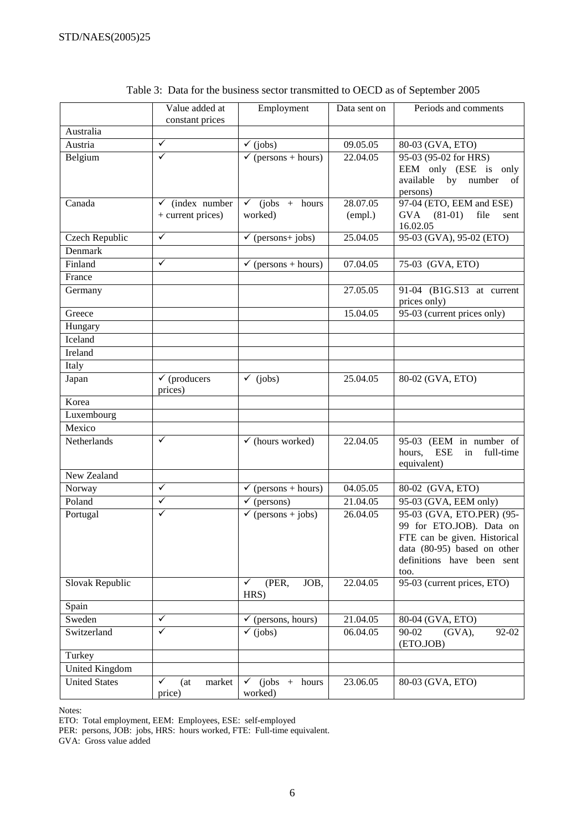|                      | Value added at<br>constant prices               | Employment                            | Data sent on        | Periods and comments                                                                                                                                       |
|----------------------|-------------------------------------------------|---------------------------------------|---------------------|------------------------------------------------------------------------------------------------------------------------------------------------------------|
| Australia            |                                                 |                                       |                     |                                                                                                                                                            |
| Austria              | $\checkmark$                                    | $\checkmark$ (jobs)                   | 09.05.05            | 80-03 (GVA, ETO)                                                                                                                                           |
| Belgium              | $\checkmark$                                    | $\checkmark$ (persons + hours)        | 22.04.05            | 95-03 (95-02 for HRS)<br>EEM only (ESE is only<br>available by number<br>of<br>persons)                                                                    |
| Canada               | $\checkmark$ (index number<br>+ current prices) | $\checkmark$ (jobs + hours<br>worked) | 28.07.05<br>(empl.) | 97-04 (ETO, EEM and ESE)<br>GVA (81-01)<br>file<br>sent<br>16.02.05                                                                                        |
| Czech Republic       | $\checkmark$                                    | $\checkmark$ (persons+ jobs)          | 25.04.05            | 95-03 (GVA), 95-02 (ETO)                                                                                                                                   |
| Denmark              |                                                 |                                       |                     |                                                                                                                                                            |
| Finland              | $\checkmark$                                    | $\checkmark$ (persons + hours)        | 07.04.05            | 75-03 (GVA, ETO)                                                                                                                                           |
| France               |                                                 |                                       |                     |                                                                                                                                                            |
| Germany              |                                                 |                                       | 27.05.05            | 91-04 (B1G.S13 at current<br>prices only)                                                                                                                  |
| Greece               |                                                 |                                       | 15.04.05            | 95-03 (current prices only)                                                                                                                                |
| Hungary              |                                                 |                                       |                     |                                                                                                                                                            |
| Iceland              |                                                 |                                       |                     |                                                                                                                                                            |
| Ireland              |                                                 |                                       |                     |                                                                                                                                                            |
| Italy                |                                                 |                                       |                     |                                                                                                                                                            |
| Japan                | $\checkmark$ (producers<br>prices)              | $\checkmark$ (jobs)                   | 25.04.05            | 80-02 (GVA, ETO)                                                                                                                                           |
| Korea                |                                                 |                                       |                     |                                                                                                                                                            |
| Luxembourg           |                                                 |                                       |                     |                                                                                                                                                            |
| Mexico               |                                                 |                                       |                     |                                                                                                                                                            |
| Netherlands          | ✓                                               | $\checkmark$ (hours worked)           | 22.04.05            | 95-03 (EEM in number of<br>hours, ESE<br>in<br>full-time<br>equivalent)                                                                                    |
| New Zealand          |                                                 |                                       |                     |                                                                                                                                                            |
| Norway               | $\checkmark$                                    | $\sqrt{\text{(persons + hours)}}$     | 04.05.05            | 80-02 (GVA, ETO)                                                                                                                                           |
| Poland               | $\checkmark$                                    | $\sqrt{\text{(persons)}}$             | 21.04.05            | 95-03 (GVA, EEM only)                                                                                                                                      |
| Portugal             | ✓                                               | $\checkmark$ (persons + jobs)         | 26.04.05            | 95-03 (GVA, ETO.PER) (95-<br>99 for ETO.JOB). Data on<br>FTE can be given. Historical<br>data (80-95) based on other<br>definitions have been sent<br>too. |
| Slovak Republic      |                                                 | (PER,<br>✓<br>JOB,<br>HRS)            | 22.04.05            | 95-03 (current prices, ETO)                                                                                                                                |
| Spain                |                                                 |                                       |                     |                                                                                                                                                            |
| Sweden               | $\checkmark$                                    | $\checkmark$ (persons, hours)         | 21.04.05            | 80-04 (GVA, ETO)                                                                                                                                           |
| Switzerland          | ✓                                               | $\checkmark$ (jobs)                   | 06.04.05            | 90-02<br>$(GVA)$ ,<br>92-02<br>(ETO.JOB)                                                                                                                   |
| Turkey               |                                                 |                                       |                     |                                                                                                                                                            |
| United Kingdom       |                                                 |                                       |                     |                                                                                                                                                            |
| <b>United States</b> | ✓<br>market<br>(at)<br>price)                   | $(jobs +$<br>hours<br>✓<br>worked)    | 23.06.05            | 80-03 (GVA, ETO)                                                                                                                                           |

| Table 3: Data for the business sector transmitted to OECD as of September 2005 |  |
|--------------------------------------------------------------------------------|--|
|--------------------------------------------------------------------------------|--|

Notes:

ETO: Total employment, EEM: Employees, ESE: self-employed

PER: persons, JOB: jobs, HRS: hours worked, FTE: Full-time equivalent.

GVA: Gross value added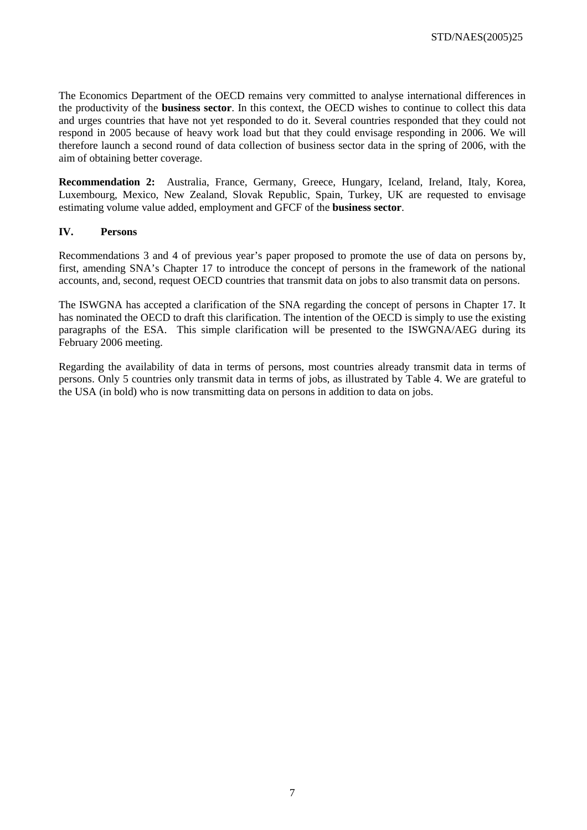The Economics Department of the OECD remains very committed to analyse international differences in the productivity of the **business sector**. In this context, the OECD wishes to continue to collect this data and urges countries that have not yet responded to do it. Several countries responded that they could not respond in 2005 because of heavy work load but that they could envisage responding in 2006. We will therefore launch a second round of data collection of business sector data in the spring of 2006, with the aim of obtaining better coverage.

**Recommendation 2:** Australia, France, Germany, Greece, Hungary, Iceland, Ireland, Italy, Korea, Luxembourg, Mexico, New Zealand, Slovak Republic, Spain, Turkey, UK are requested to envisage estimating volume value added, employment and GFCF of the **business sector**.

## **IV. Persons**

Recommendations 3 and 4 of previous year's paper proposed to promote the use of data on persons by, first, amending SNA's Chapter 17 to introduce the concept of persons in the framework of the national accounts, and, second, request OECD countries that transmit data on jobs to also transmit data on persons.

The ISWGNA has accepted a clarification of the SNA regarding the concept of persons in Chapter 17. It has nominated the OECD to draft this clarification. The intention of the OECD is simply to use the existing paragraphs of the ESA. This simple clarification will be presented to the ISWGNA/AEG during its February 2006 meeting.

Regarding the availability of data in terms of persons, most countries already transmit data in terms of persons. Only 5 countries only transmit data in terms of jobs, as illustrated by Table 4. We are grateful to the USA (in bold) who is now transmitting data on persons in addition to data on jobs.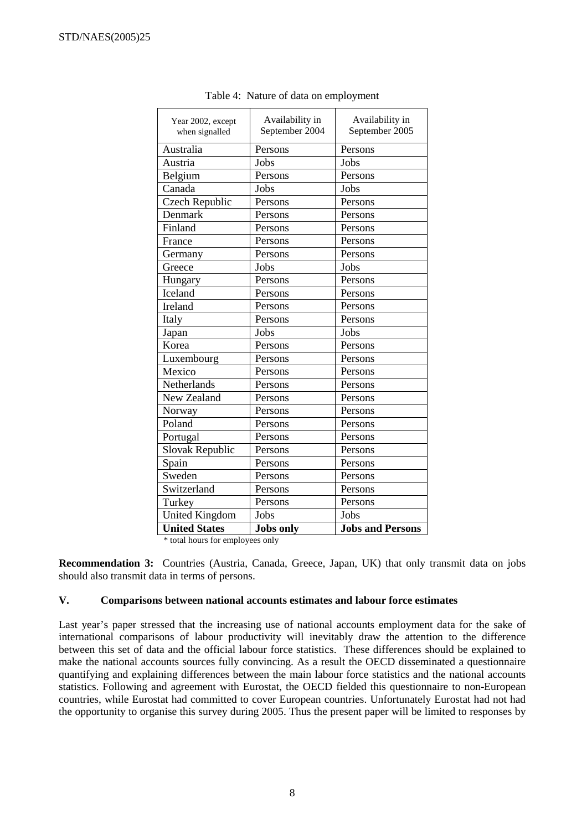| Year 2002, except<br>when signalled | Availability in<br>September 2004 | Availability in<br>September 2005 |  |
|-------------------------------------|-----------------------------------|-----------------------------------|--|
| Australia                           | Persons                           | Persons                           |  |
| Austria                             | Jobs                              | Jobs                              |  |
| Belgium                             | Persons                           | Persons                           |  |
| Canada                              | Jobs                              | Jobs                              |  |
| <b>Czech Republic</b>               | Persons                           | Persons                           |  |
| Denmark                             | Persons                           | Persons                           |  |
| Finland                             | Persons                           | Persons                           |  |
| France                              | Persons                           | Persons                           |  |
| Germany                             | Persons                           | Persons                           |  |
| Greece                              | Jobs                              | Jobs                              |  |
| Hungary                             | Persons                           | Persons                           |  |
| Iceland                             | Persons                           | Persons                           |  |
| Ireland                             | Persons                           | Persons                           |  |
| Italy                               | Persons                           | Persons                           |  |
| Japan                               | Jobs                              | Jobs                              |  |
| Korea                               | Persons                           | Persons                           |  |
| Luxembourg                          | Persons                           | Persons                           |  |
| Mexico                              | Persons                           | Persons                           |  |
| Netherlands                         | Persons                           | Persons                           |  |
| New Zealand                         | Persons                           | Persons                           |  |
| Norway                              | Persons                           | Persons                           |  |
| Poland                              | Persons                           | Persons                           |  |
| Portugal                            | Persons                           | Persons                           |  |
| Slovak Republic                     | Persons                           | Persons                           |  |
| Spain                               | Persons                           | Persons                           |  |
| Sweden                              | Persons                           | Persons                           |  |
| Switzerland                         | Persons                           | Persons                           |  |
| Turkey                              | Persons                           | Persons                           |  |
| <b>United Kingdom</b>               | Jobs                              | Jobs                              |  |
| <b>United States</b>                | <b>Jobs</b> only                  | <b>Jobs and Persons</b>           |  |

Table 4: Nature of data on employment

\* total hours for employees only

**Recommendation 3:** Countries (Austria, Canada, Greece, Japan, UK) that only transmit data on jobs should also transmit data in terms of persons.

#### **V. Comparisons between national accounts estimates and labour force estimates**

Last year's paper stressed that the increasing use of national accounts employment data for the sake of international comparisons of labour productivity will inevitably draw the attention to the difference between this set of data and the official labour force statistics. These differences should be explained to make the national accounts sources fully convincing. As a result the OECD disseminated a questionnaire quantifying and explaining differences between the main labour force statistics and the national accounts statistics. Following and agreement with Eurostat, the OECD fielded this questionnaire to non-European countries, while Eurostat had committed to cover European countries. Unfortunately Eurostat had not had the opportunity to organise this survey during 2005. Thus the present paper will be limited to responses by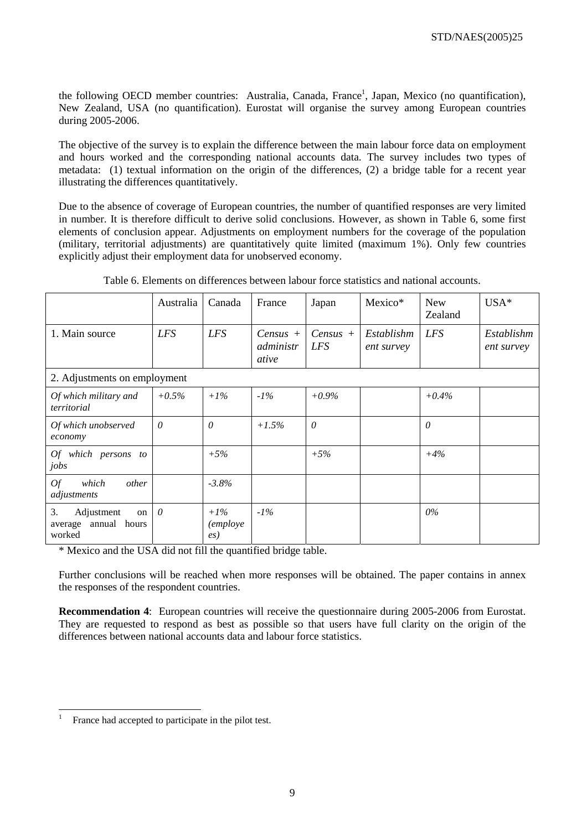the following OECD member countries: Australia, Canada, France<sup>1</sup>, Japan, Mexico (no quantification), New Zealand, USA (no quantification). Eurostat will organise the survey among European countries during 2005-2006.

The objective of the survey is to explain the difference between the main labour force data on employment and hours worked and the corresponding national accounts data. The survey includes two types of metadata: (1) textual information on the origin of the differences, (2) a bridge table for a recent year illustrating the differences quantitatively.

Due to the absence of coverage of European countries, the number of quantified responses are very limited in number. It is therefore difficult to derive solid conclusions. However, as shown in Table 6, some first elements of conclusion appear. Adjustments on employment numbers for the coverage of the population (military, territorial adjustments) are quantitatively quite limited (maximum 1%). Only few countries explicitly adjust their employment data for unobserved economy.

|                                                             | Australia  | Canada                                 | France                           | Japan                    | Mexico*                  | <b>New</b><br>Zealand | $USA*$                   |
|-------------------------------------------------------------|------------|----------------------------------------|----------------------------------|--------------------------|--------------------------|-----------------------|--------------------------|
| 1. Main source                                              | <b>LFS</b> | <b>LFS</b>                             | $Census +$<br>administr<br>ative | $Census +$<br><i>LFS</i> | Establishm<br>ent survey | <b>LFS</b>            | Establishm<br>ent survey |
| 2. Adjustments on employment                                |            |                                        |                                  |                          |                          |                       |                          |
| Of which military and<br>territorial                        | $+0.5\%$   | $+1\%$                                 | $-1\%$                           | $+0.9\%$                 |                          | $+0.4\%$              |                          |
| Of which unobserved<br>economy                              | $\theta$   | $\theta$                               | $+1.5%$                          | $\theta$                 |                          | $\theta$              |                          |
| Of which persons to<br>jobs                                 |            | $+5%$                                  |                                  | $+5%$                    |                          | $+4%$                 |                          |
| Of<br>other<br>which<br>adjustments                         |            | $-3.8%$                                |                                  |                          |                          |                       |                          |
| 3.<br>Adjustment<br>on<br>annual hours<br>average<br>worked | $\theta$   | $+1\%$<br><i>(employe</i><br>$\ell(s)$ | $-1\%$                           |                          |                          | 0%                    |                          |

Table 6. Elements on differences between labour force statistics and national accounts.

\* Mexico and the USA did not fill the quantified bridge table.

Further conclusions will be reached when more responses will be obtained. The paper contains in annex the responses of the respondent countries.

**Recommendation 4**: European countries will receive the questionnaire during 2005-2006 from Eurostat. They are requested to respond as best as possible so that users have full clarity on the origin of the differences between national accounts data and labour force statistics.

<sup>|&</sup>lt;br>|<br>| France had accepted to participate in the pilot test.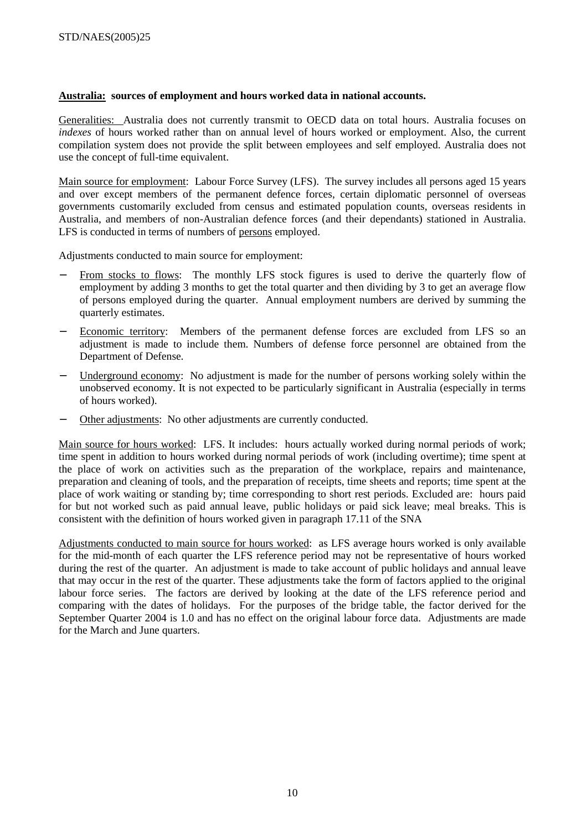#### **Australia: sources of employment and hours worked data in national accounts.**

Generalities: Australia does not currently transmit to OECD data on total hours. Australia focuses on *indexes* of hours worked rather than on annual level of hours worked or employment. Also, the current compilation system does not provide the split between employees and self employed. Australia does not use the concept of full-time equivalent.

Main source for employment: Labour Force Survey (LFS). The survey includes all persons aged 15 years and over except members of the permanent defence forces, certain diplomatic personnel of overseas governments customarily excluded from census and estimated population counts, overseas residents in Australia, and members of non-Australian defence forces (and their dependants) stationed in Australia. LFS is conducted in terms of numbers of persons employed.

Adjustments conducted to main source for employment:

- From stocks to flows: The monthly LFS stock figures is used to derive the quarterly flow of employment by adding 3 months to get the total quarter and then dividing by 3 to get an average flow of persons employed during the quarter. Annual employment numbers are derived by summing the quarterly estimates.
- Economic territory: Members of the permanent defense forces are excluded from LFS so an adjustment is made to include them. Numbers of defense force personnel are obtained from the Department of Defense.
- Underground economy: No adjustment is made for the number of persons working solely within the unobserved economy. It is not expected to be particularly significant in Australia (especially in terms of hours worked).
- Other adjustments: No other adjustments are currently conducted.

Main source for hours worked: LFS. It includes: hours actually worked during normal periods of work; time spent in addition to hours worked during normal periods of work (including overtime); time spent at the place of work on activities such as the preparation of the workplace, repairs and maintenance, preparation and cleaning of tools, and the preparation of receipts, time sheets and reports; time spent at the place of work waiting or standing by; time corresponding to short rest periods. Excluded are: hours paid for but not worked such as paid annual leave, public holidays or paid sick leave; meal breaks. This is consistent with the definition of hours worked given in paragraph 17.11 of the SNA

Adjustments conducted to main source for hours worked: as LFS average hours worked is only available for the mid-month of each quarter the LFS reference period may not be representative of hours worked during the rest of the quarter. An adjustment is made to take account of public holidays and annual leave that may occur in the rest of the quarter. These adjustments take the form of factors applied to the original labour force series. The factors are derived by looking at the date of the LFS reference period and comparing with the dates of holidays. For the purposes of the bridge table, the factor derived for the September Quarter 2004 is 1.0 and has no effect on the original labour force data. Adjustments are made for the March and June quarters.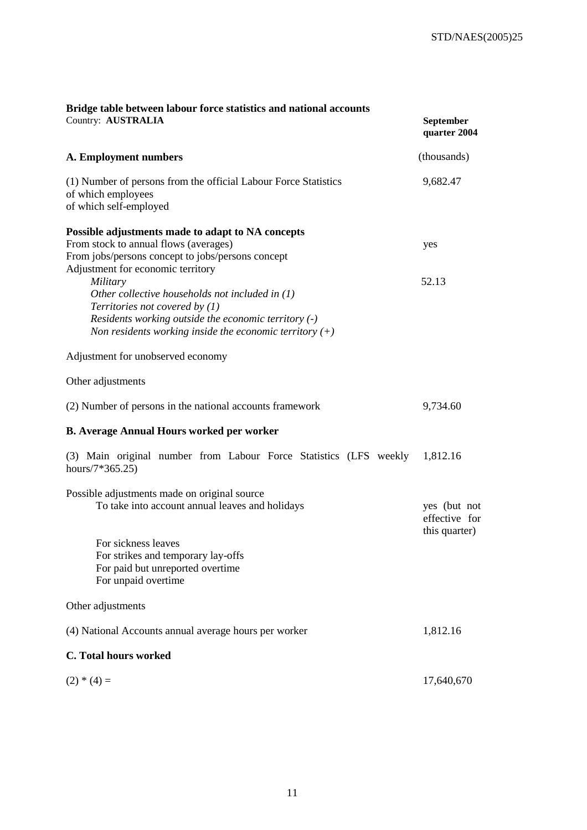| Bridge table between labour force statistics and national accounts<br>Country: AUSTRALIA                                                                                                                               | September<br>quarter 2004                      |
|------------------------------------------------------------------------------------------------------------------------------------------------------------------------------------------------------------------------|------------------------------------------------|
| A. Employment numbers                                                                                                                                                                                                  | (thousands)                                    |
| (1) Number of persons from the official Labour Force Statistics<br>of which employees<br>of which self-employed                                                                                                        | 9,682.47                                       |
| Possible adjustments made to adapt to NA concepts<br>From stock to annual flows (averages)<br>From jobs/persons concept to jobs/persons concept<br>Adjustment for economic territory                                   | yes                                            |
| Military<br>Other collective households not included in $(1)$<br>Territories not covered by $(1)$<br>Residents working outside the economic territory (-)<br>Non residents working inside the economic territory $(+)$ | 52.13                                          |
| Adjustment for unobserved economy                                                                                                                                                                                      |                                                |
| Other adjustments                                                                                                                                                                                                      |                                                |
| (2) Number of persons in the national accounts framework                                                                                                                                                               | 9,734.60                                       |
| <b>B. Average Annual Hours worked per worker</b>                                                                                                                                                                       |                                                |
| (3) Main original number from Labour Force Statistics (LFS weekly<br>hours/7 $*365.25$ )                                                                                                                               | 1,812.16                                       |
| Possible adjustments made on original source<br>To take into account annual leaves and holidays                                                                                                                        | yes (but not<br>effective for<br>this quarter) |
| For sickness leaves<br>For strikes and temporary lay-offs<br>For paid but unreported overtime<br>For unpaid overtime                                                                                                   |                                                |
| Other adjustments                                                                                                                                                                                                      |                                                |
| (4) National Accounts annual average hours per worker                                                                                                                                                                  | 1,812.16                                       |
| C. Total hours worked                                                                                                                                                                                                  |                                                |
| $(2) * (4) =$                                                                                                                                                                                                          | 17,640,670                                     |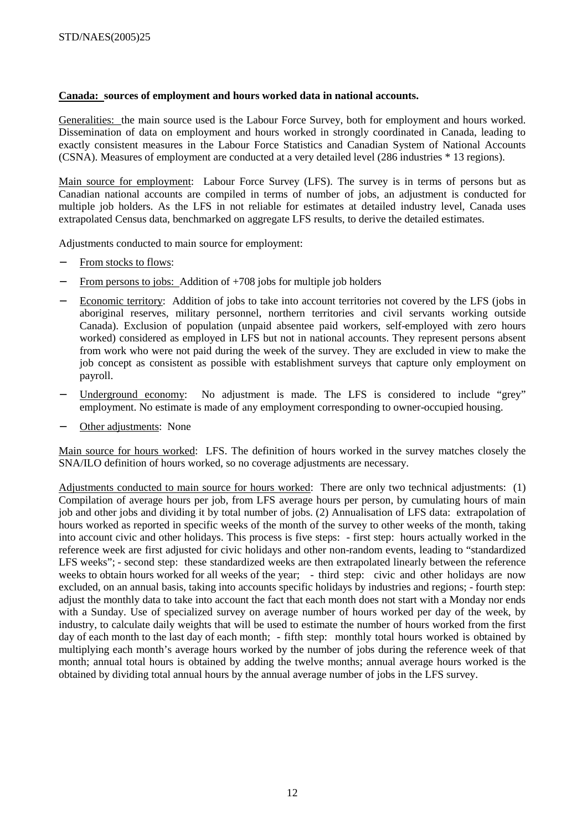# **Canada: sources of employment and hours worked data in national accounts.**

Generalities: the main source used is the Labour Force Survey, both for employment and hours worked. Dissemination of data on employment and hours worked in strongly coordinated in Canada, leading to exactly consistent measures in the Labour Force Statistics and Canadian System of National Accounts (CSNA). Measures of employment are conducted at a very detailed level (286 industries \* 13 regions).

Main source for employment: Labour Force Survey (LFS). The survey is in terms of persons but as Canadian national accounts are compiled in terms of number of jobs, an adjustment is conducted for multiple job holders. As the LFS in not reliable for estimates at detailed industry level, Canada uses extrapolated Census data, benchmarked on aggregate LFS results, to derive the detailed estimates.

Adjustments conducted to main source for employment:

- From stocks to flows:
- From persons to jobs: Addition of  $+708$  jobs for multiple job holders
- − Economic territory: Addition of jobs to take into account territories not covered by the LFS (jobs in aboriginal reserves, military personnel, northern territories and civil servants working outside Canada). Exclusion of population (unpaid absentee paid workers, self-employed with zero hours worked) considered as employed in LFS but not in national accounts. They represent persons absent from work who were not paid during the week of the survey. They are excluded in view to make the job concept as consistent as possible with establishment surveys that capture only employment on payroll.
- Underground economy: No adjustment is made. The LFS is considered to include "grey" employment. No estimate is made of any employment corresponding to owner-occupied housing.
- Other adjustments: None

Main source for hours worked: LFS. The definition of hours worked in the survey matches closely the SNA/ILO definition of hours worked, so no coverage adjustments are necessary.

Adjustments conducted to main source for hours worked: There are only two technical adjustments: (1) Compilation of average hours per job, from LFS average hours per person, by cumulating hours of main job and other jobs and dividing it by total number of jobs. (2) Annualisation of LFS data: extrapolation of hours worked as reported in specific weeks of the month of the survey to other weeks of the month, taking into account civic and other holidays. This process is five steps: - first step: hours actually worked in the reference week are first adjusted for civic holidays and other non-random events, leading to "standardized LFS weeks"; - second step: these standardized weeks are then extrapolated linearly between the reference weeks to obtain hours worked for all weeks of the year; - third step: civic and other holidays are now excluded, on an annual basis, taking into accounts specific holidays by industries and regions; - fourth step: adjust the monthly data to take into account the fact that each month does not start with a Monday nor ends with a Sunday. Use of specialized survey on average number of hours worked per day of the week, by industry, to calculate daily weights that will be used to estimate the number of hours worked from the first day of each month to the last day of each month; - fifth step: monthly total hours worked is obtained by multiplying each month's average hours worked by the number of jobs during the reference week of that month; annual total hours is obtained by adding the twelve months; annual average hours worked is the obtained by dividing total annual hours by the annual average number of jobs in the LFS survey.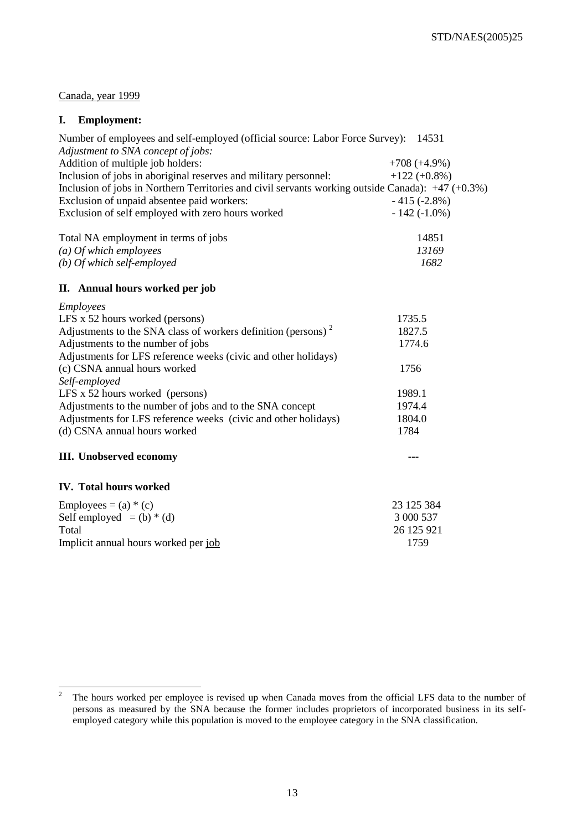# Canada, year 1999

# **I. Employment:**

| Number of employees and self-employed (official source: Labor Force Survey): 14531<br>Adjustment to SNA concept of jobs: |                 |
|--------------------------------------------------------------------------------------------------------------------------|-----------------|
| Addition of multiple job holders:                                                                                        | $+708 (+4.9\%)$ |
| Inclusion of jobs in aboriginal reserves and military personnel:                                                         | $+122 (+0.8\%)$ |
| Inclusion of jobs in Northern Territories and civil servants working outside Canada): $+47 (+0.3\%)$                     |                 |
| Exclusion of unpaid absentee paid workers:                                                                               | $-415(-2.8%)$   |
| Exclusion of self employed with zero hours worked                                                                        | $-142(-1.0\%)$  |
| Total NA employment in terms of jobs                                                                                     | 14851           |
| $(a)$ Of which employees                                                                                                 | 13169           |
| (b) Of which self-employed                                                                                               | 1682            |
| II. Annual hours worked per job                                                                                          |                 |
| Employees                                                                                                                |                 |
| LFS x 52 hours worked (persons)                                                                                          | 1735.5          |
| Adjustments to the SNA class of workers definition (persons) $2$                                                         | 1827.5          |
| Adjustments to the number of jobs                                                                                        | 1774.6          |
| Adjustments for LFS reference weeks (civic and other holidays)                                                           |                 |
| (c) CSNA annual hours worked                                                                                             | 1756            |
| Self-employed                                                                                                            |                 |
| LFS x 52 hours worked (persons)                                                                                          | 1989.1          |
| Adjustments to the number of jobs and to the SNA concept                                                                 | 1974.4          |
| Adjustments for LFS reference weeks (civic and other holidays)                                                           | 1804.0          |
| (d) CSNA annual hours worked                                                                                             | 1784            |
| <b>III.</b> Unobserved economy                                                                                           | ---             |
| <b>IV.</b> Total hours worked                                                                                            |                 |
| Employees = $(a) * (c)$                                                                                                  | 23 125 384      |
| Self employed $=(b) * (d)$                                                                                               | 3 000 537       |
| Total                                                                                                                    | 26 125 921      |
| Implicit annual hours worked per job                                                                                     | 1759            |

 $\frac{1}{2}$  The hours worked per employee is revised up when Canada moves from the official LFS data to the number of persons as measured by the SNA because the former includes proprietors of incorporated business in its selfemployed category while this population is moved to the employee category in the SNA classification.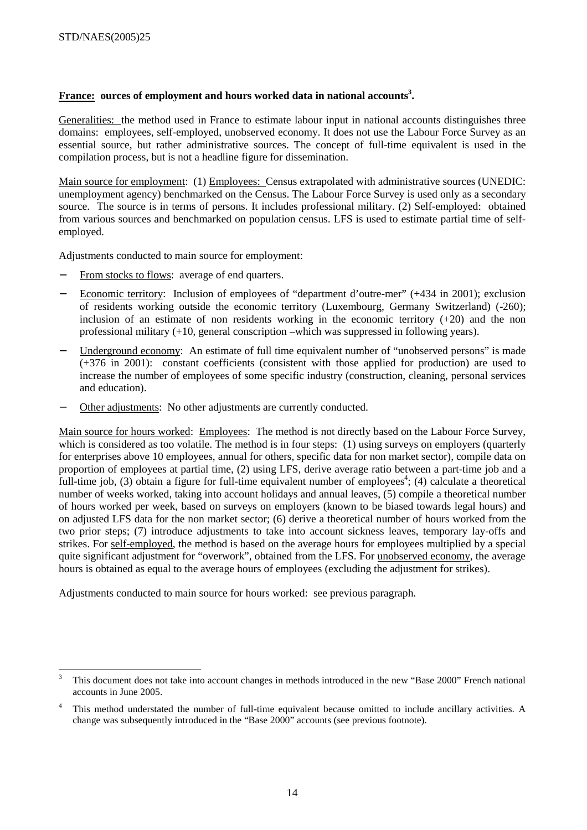# France: ources of employment and hours worked data in national accounts<sup>3</sup>.

Generalities: the method used in France to estimate labour input in national accounts distinguishes three domains: employees, self-employed, unobserved economy. It does not use the Labour Force Survey as an essential source, but rather administrative sources. The concept of full-time equivalent is used in the compilation process, but is not a headline figure for dissemination.

Main source for employment: (1) Employees: Census extrapolated with administrative sources (UNEDIC: unemployment agency) benchmarked on the Census. The Labour Force Survey is used only as a secondary source. The source is in terms of persons. It includes professional military. (2) Self-employed: obtained from various sources and benchmarked on population census. LFS is used to estimate partial time of selfemployed.

Adjustments conducted to main source for employment:

- From stocks to flows: average of end quarters.
- − Economic territory: Inclusion of employees of "department d'outre-mer" (+434 in 2001); exclusion of residents working outside the economic territory (Luxembourg, Germany Switzerland) (-260); inclusion of an estimate of non residents working in the economic territory  $(+20)$  and the non professional military (+10, general conscription –which was suppressed in following years).
- Underground economy: An estimate of full time equivalent number of "unobserved persons" is made (+376 in 2001): constant coefficients (consistent with those applied for production) are used to increase the number of employees of some specific industry (construction, cleaning, personal services and education).
- Other adjustments: No other adjustments are currently conducted.

Main source for hours worked: Employees: The method is not directly based on the Labour Force Survey, which is considered as too volatile. The method is in four steps: (1) using surveys on employers (quarterly for enterprises above 10 employees, annual for others, specific data for non market sector), compile data on proportion of employees at partial time, (2) using LFS, derive average ratio between a part-time job and a full-time job,  $(3)$  obtain a figure for full-time equivalent number of employees<sup>4</sup>; (4) calculate a theoretical number of weeks worked, taking into account holidays and annual leaves, (5) compile a theoretical number of hours worked per week, based on surveys on employers (known to be biased towards legal hours) and on adjusted LFS data for the non market sector; (6) derive a theoretical number of hours worked from the two prior steps; (7) introduce adjustments to take into account sickness leaves, temporary lay-offs and strikes. For self-employed, the method is based on the average hours for employees multiplied by a special quite significant adjustment for "overwork", obtained from the LFS. For unobserved economy, the average hours is obtained as equal to the average hours of employees (excluding the adjustment for strikes).

Adjustments conducted to main source for hours worked: see previous paragraph.

 3 This document does not take into account changes in methods introduced in the new "Base 2000" French national accounts in June 2005.

<sup>4</sup> This method understated the number of full-time equivalent because omitted to include ancillary activities. A change was subsequently introduced in the "Base 2000" accounts (see previous footnote).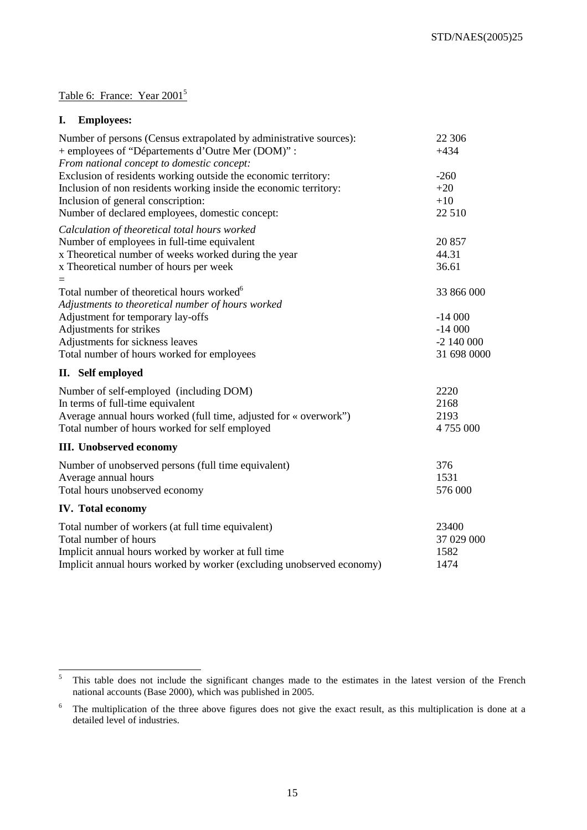# Table 6: France: Year 2001<sup>5</sup>

# **I. Employees:**

| Number of persons (Census extrapolated by administrative sources):<br>+ employees of "Départements d'Outre Mer (DOM)" :<br>From national concept to domestic concept:                                                                                       | 22 30 6<br>$+434$                                                 |
|-------------------------------------------------------------------------------------------------------------------------------------------------------------------------------------------------------------------------------------------------------------|-------------------------------------------------------------------|
| Exclusion of residents working outside the economic territory:<br>Inclusion of non residents working inside the economic territory:<br>Inclusion of general conscription:<br>Number of declared employees, domestic concept:                                | $-260$<br>$+20$<br>$+10$<br>22 510                                |
| Calculation of theoretical total hours worked<br>Number of employees in full-time equivalent<br>x Theoretical number of weeks worked during the year<br>x Theoretical number of hours per week                                                              | 20 857<br>44.31<br>36.61                                          |
| Total number of theoretical hours worked <sup>6</sup><br>Adjustments to theoretical number of hours worked<br>Adjustment for temporary lay-offs<br>Adjustments for strikes<br>Adjustments for sickness leaves<br>Total number of hours worked for employees | 33 866 000<br>$-14000$<br>$-14000$<br>$-2$ 140 000<br>31 698 0000 |
| II. Self employed                                                                                                                                                                                                                                           |                                                                   |
| Number of self-employed (including DOM)<br>In terms of full-time equivalent<br>Average annual hours worked (full time, adjusted for « overwork")<br>Total number of hours worked for self employed                                                          | 2220<br>2168<br>2193<br>4 755 000                                 |
| <b>III.</b> Unobserved economy                                                                                                                                                                                                                              |                                                                   |
| Number of unobserved persons (full time equivalent)<br>Average annual hours<br>Total hours unobserved economy                                                                                                                                               | 376<br>1531<br>576 000                                            |
| <b>IV.</b> Total economy                                                                                                                                                                                                                                    |                                                                   |
| Total number of workers (at full time equivalent)<br>Total number of hours<br>Implicit annual hours worked by worker at full time<br>Implicit annual hours worked by worker (excluding unobserved economy)                                                  | 23400<br>37 029 000<br>1582<br>1474                               |

 5 This table does not include the significant changes made to the estimates in the latest version of the French national accounts (Base 2000), which was published in 2005.

<sup>6</sup> The multiplication of the three above figures does not give the exact result, as this multiplication is done at a detailed level of industries.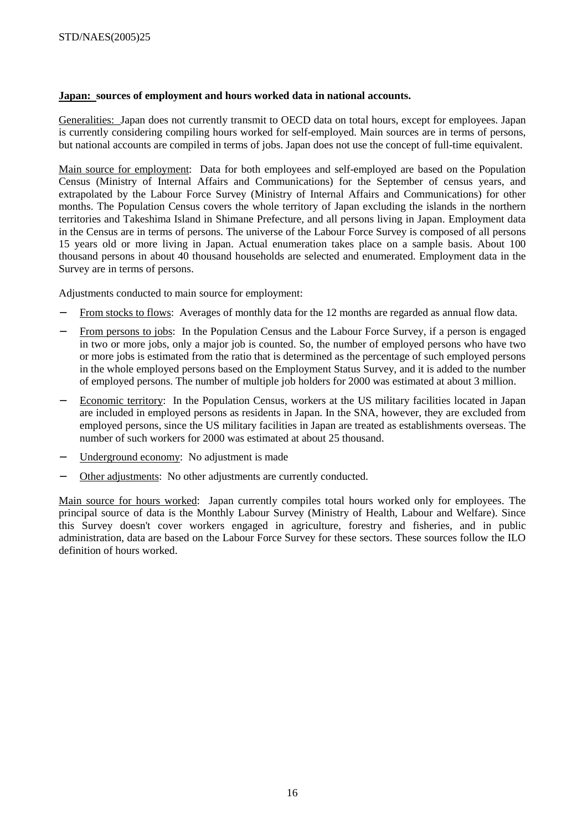# **Japan: sources of employment and hours worked data in national accounts.**

Generalities: Japan does not currently transmit to OECD data on total hours, except for employees. Japan is currently considering compiling hours worked for self-employed. Main sources are in terms of persons, but national accounts are compiled in terms of jobs. Japan does not use the concept of full-time equivalent.

Main source for employment: Data for both employees and self-employed are based on the Population Census (Ministry of Internal Affairs and Communications) for the September of census years, and extrapolated by the Labour Force Survey (Ministry of Internal Affairs and Communications) for other months. The Population Census covers the whole territory of Japan excluding the islands in the northern territories and Takeshima Island in Shimane Prefecture, and all persons living in Japan. Employment data in the Census are in terms of persons. The universe of the Labour Force Survey is composed of all persons 15 years old or more living in Japan. Actual enumeration takes place on a sample basis. About 100 thousand persons in about 40 thousand households are selected and enumerated. Employment data in the Survey are in terms of persons.

Adjustments conducted to main source for employment:

- From stocks to flows: Averages of monthly data for the 12 months are regarded as annual flow data.
- From persons to jobs: In the Population Census and the Labour Force Survey, if a person is engaged in two or more jobs, only a major job is counted. So, the number of employed persons who have two or more jobs is estimated from the ratio that is determined as the percentage of such employed persons in the whole employed persons based on the Employment Status Survey, and it is added to the number of employed persons. The number of multiple job holders for 2000 was estimated at about 3 million.
- − Economic territory: In the Population Census, workers at the US military facilities located in Japan are included in employed persons as residents in Japan. In the SNA, however, they are excluded from employed persons, since the US military facilities in Japan are treated as establishments overseas. The number of such workers for 2000 was estimated at about 25 thousand.
- Underground economy: No adjustment is made
- Other adjustments: No other adjustments are currently conducted.

Main source for hours worked: Japan currently compiles total hours worked only for employees. The principal source of data is the Monthly Labour Survey (Ministry of Health, Labour and Welfare). Since this Survey doesn't cover workers engaged in agriculture, forestry and fisheries, and in public administration, data are based on the Labour Force Survey for these sectors. These sources follow the ILO definition of hours worked.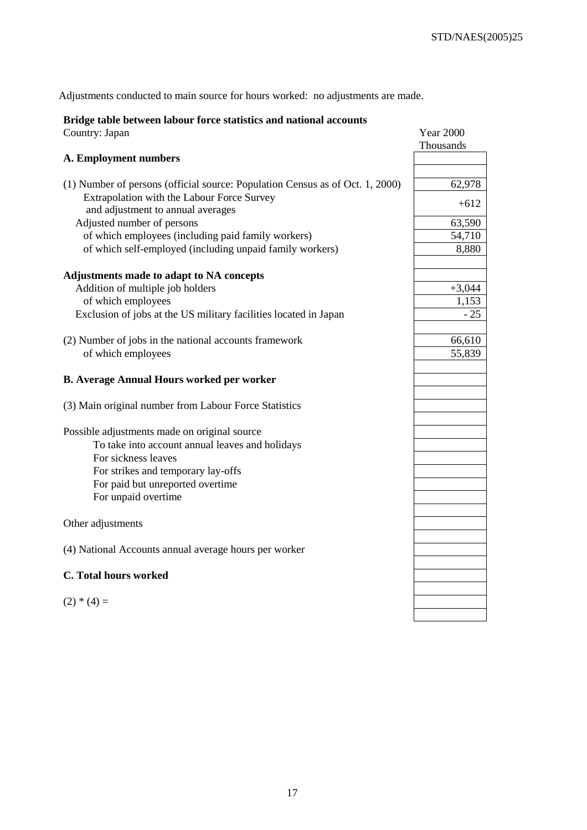Adjustments conducted to main source for hours worked: no adjustments are made.

# **Bridge table between labour force statistics and national accounts**

| Country: Japan                                                                  | <b>Year 2000</b> |
|---------------------------------------------------------------------------------|------------------|
|                                                                                 | Thousands        |
| A. Employment numbers                                                           |                  |
| (1) Number of persons (official source: Population Census as of Oct. 1, 2000)   | 62,978           |
| Extrapolation with the Labour Force Survey<br>and adjustment to annual averages | $+612$           |
| Adjusted number of persons                                                      | 63,590           |
| of which employees (including paid family workers)                              | 54,710           |
| of which self-employed (including unpaid family workers)                        | 8,880            |
| Adjustments made to adapt to NA concepts                                        |                  |
| Addition of multiple job holders                                                | $+3,044$         |
| of which employees                                                              | 1,153            |
| Exclusion of jobs at the US military facilities located in Japan                | $-25$            |
| (2) Number of jobs in the national accounts framework                           | 66,610           |
| of which employees                                                              | 55,839           |
|                                                                                 |                  |
| <b>B. Average Annual Hours worked per worker</b>                                |                  |
| (3) Main original number from Labour Force Statistics                           |                  |
| Possible adjustments made on original source                                    |                  |
| To take into account annual leaves and holidays                                 |                  |
| For sickness leaves                                                             |                  |
| For strikes and temporary lay-offs                                              |                  |
| For paid but unreported overtime                                                |                  |
| For unpaid overtime                                                             |                  |
|                                                                                 |                  |
| Other adjustments                                                               |                  |
| (4) National Accounts annual average hours per worker                           |                  |
|                                                                                 |                  |
| <b>C.</b> Total hours worked                                                    |                  |
|                                                                                 |                  |
| $(2) * (4) =$                                                                   |                  |
|                                                                                 |                  |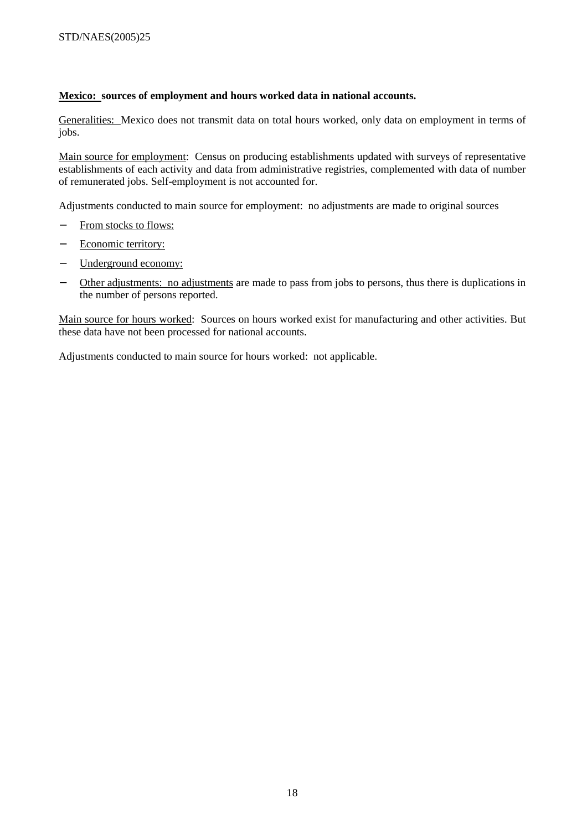# **Mexico: sources of employment and hours worked data in national accounts.**

Generalities: Mexico does not transmit data on total hours worked, only data on employment in terms of jobs.

Main source for employment: Census on producing establishments updated with surveys of representative establishments of each activity and data from administrative registries, complemented with data of number of remunerated jobs. Self-employment is not accounted for.

Adjustments conducted to main source for employment: no adjustments are made to original sources

- − From stocks to flows:
- − Economic territory:
- − Underground economy:
- − Other adjustments: no adjustments are made to pass from jobs to persons, thus there is duplications in the number of persons reported.

Main source for hours worked: Sources on hours worked exist for manufacturing and other activities. But these data have not been processed for national accounts.

Adjustments conducted to main source for hours worked: not applicable.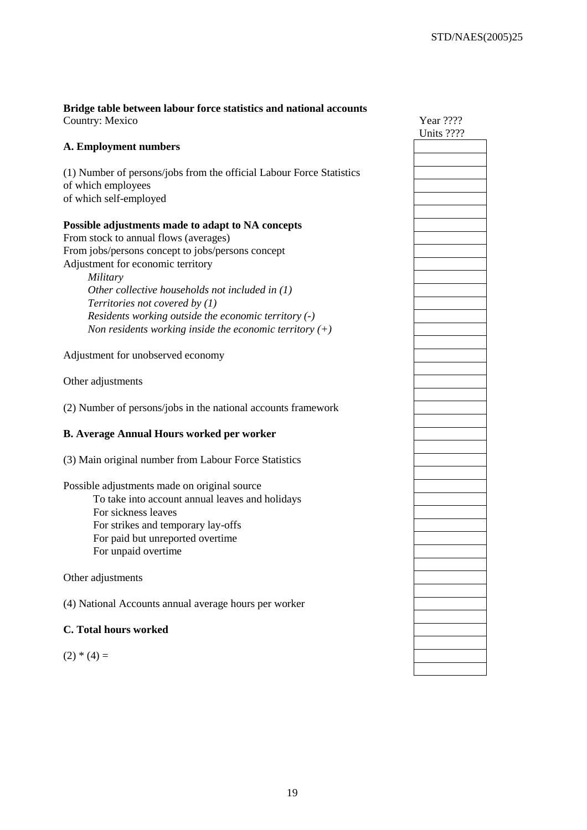### **Bridge table between labour force statistics and national accounts**  Country: Mexico

## **A. Employment numbers**

(1) Number of persons/jobs from the official Labour Force Statistics of which employees of which self-employed

## **Possible adjustments made to adapt to NA concepts**

From stock to annual flows (averages) From jobs/persons concept to jobs/persons concept Adjustment for economic territory

> *Military Other collective households not included in (1) Territories not covered by (1) Residents working outside the economic territory (-) Non residents working inside the economic territory (+)*

Adjustment for unobserved economy

Other adjustments

(2) Number of persons/jobs in the national accounts framework

## **B. Average Annual Hours worked per worker**

(3) Main original number from Labour Force Statistics

Possible adjustments made on original source To take into account annual leaves and holidays For sickness leaves For strikes and temporary lay-offs For paid but unreported overtime For unpaid overtime

Other adjustments

(4) National Accounts annual average hours per worker

## **C. Total hours worked**

 $(2) * (4) =$ 

| Year ????<br>Units ???? |
|-------------------------|
|                         |
|                         |
|                         |
|                         |
|                         |
|                         |
|                         |
|                         |
|                         |
|                         |
|                         |
|                         |
|                         |
|                         |
|                         |
|                         |
|                         |
|                         |
|                         |
|                         |
|                         |
|                         |
|                         |
|                         |
|                         |
|                         |
|                         |
|                         |
|                         |
|                         |
|                         |
|                         |
|                         |
|                         |
|                         |
|                         |
|                         |
|                         |
|                         |
|                         |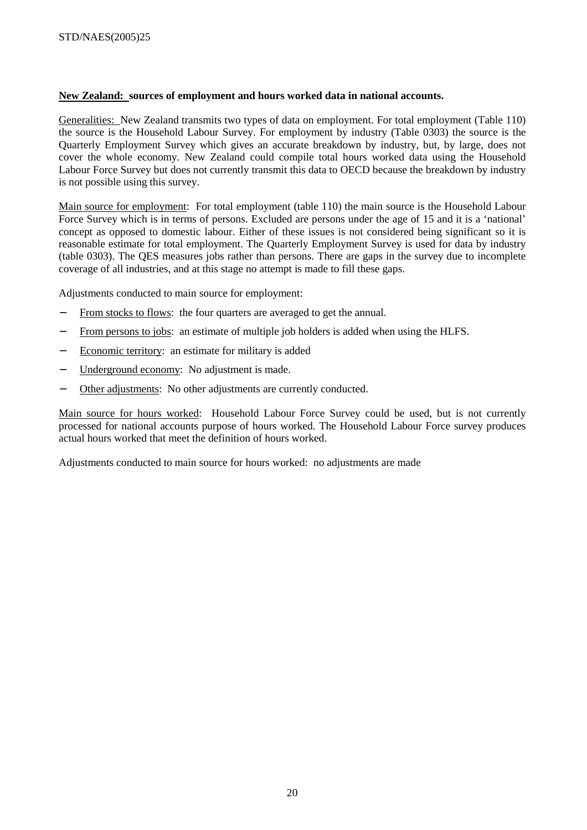# **New Zealand: sources of employment and hours worked data in national accounts.**

Generalities: New Zealand transmits two types of data on employment. For total employment (Table 110) the source is the Household Labour Survey. For employment by industry (Table 0303) the source is the Quarterly Employment Survey which gives an accurate breakdown by industry, but, by large, does not cover the whole economy. New Zealand could compile total hours worked data using the Household Labour Force Survey but does not currently transmit this data to OECD because the breakdown by industry is not possible using this survey.

Main source for employment: For total employment (table 110) the main source is the Household Labour Force Survey which is in terms of persons. Excluded are persons under the age of 15 and it is a 'national' concept as opposed to domestic labour. Either of these issues is not considered being significant so it is reasonable estimate for total employment. The Quarterly Employment Survey is used for data by industry (table 0303). The QES measures jobs rather than persons. There are gaps in the survey due to incomplete coverage of all industries, and at this stage no attempt is made to fill these gaps.

Adjustments conducted to main source for employment:

- From stocks to flows: the four quarters are averaged to get the annual.
- From persons to jobs: an estimate of multiple job holders is added when using the HLFS.
- − Economic territory: an estimate for military is added
- − Underground economy: No adjustment is made.
- Other adjustments: No other adjustments are currently conducted.

Main source for hours worked: Household Labour Force Survey could be used, but is not currently processed for national accounts purpose of hours worked. The Household Labour Force survey produces actual hours worked that meet the definition of hours worked.

Adjustments conducted to main source for hours worked: no adjustments are made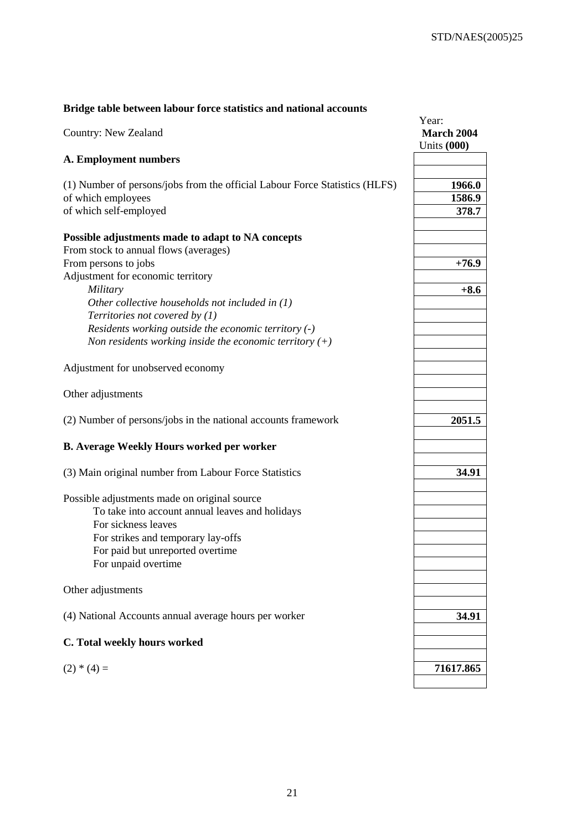# **Bridge table between labour force statistics and national accounts**

| Country: New Zealand                                                                                                                                                                                                    | Year:<br>March 2004<br><b>Units (000)</b> |
|-------------------------------------------------------------------------------------------------------------------------------------------------------------------------------------------------------------------------|-------------------------------------------|
| A. Employment numbers                                                                                                                                                                                                   |                                           |
| (1) Number of persons/jobs from the official Labour Force Statistics (HLFS)<br>of which employees<br>of which self-employed                                                                                             | 1966.0<br>1586.9<br>378.7                 |
| Possible adjustments made to adapt to NA concepts<br>From stock to annual flows (averages)<br>From persons to jobs                                                                                                      | $+76.9$                                   |
| Adjustment for economic territory<br>Military<br>Other collective households not included in $(1)$                                                                                                                      | $+8.6$                                    |
| Territories not covered by $(1)$<br>Residents working outside the economic territory (-)<br>Non residents working inside the economic territory $(+)$                                                                   |                                           |
| Adjustment for unobserved economy                                                                                                                                                                                       |                                           |
| Other adjustments                                                                                                                                                                                                       |                                           |
| (2) Number of persons/jobs in the national accounts framework                                                                                                                                                           | 2051.5                                    |
| <b>B.</b> Average Weekly Hours worked per worker                                                                                                                                                                        |                                           |
| (3) Main original number from Labour Force Statistics                                                                                                                                                                   | 34.91                                     |
| Possible adjustments made on original source<br>To take into account annual leaves and holidays<br>For sickness leaves<br>For strikes and temporary lay-offs<br>For paid but unreported overtime<br>For unpaid overtime |                                           |
| Other adjustments                                                                                                                                                                                                       |                                           |
| (4) National Accounts annual average hours per worker                                                                                                                                                                   | 34.91                                     |
| C. Total weekly hours worked                                                                                                                                                                                            |                                           |
| $(2) * (4) =$                                                                                                                                                                                                           | 71617.865                                 |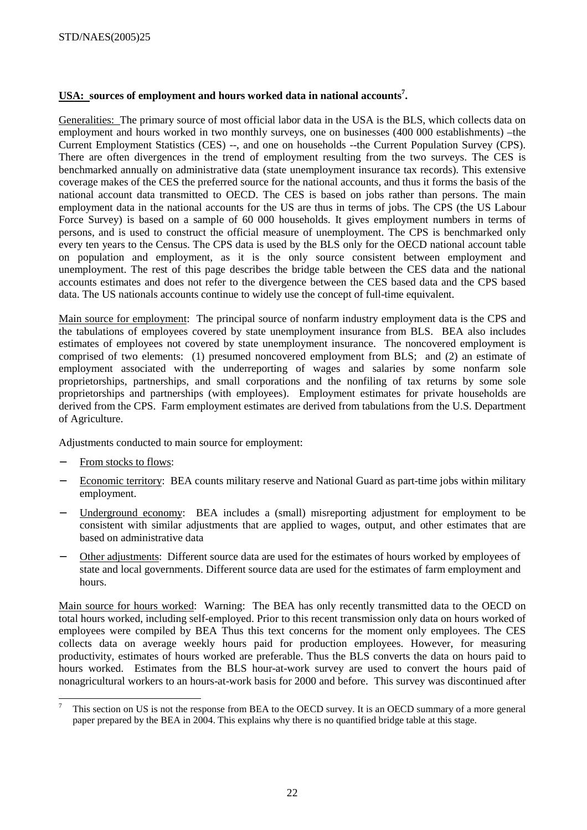# **USA: sources of employment and hours worked data in national accounts7 .**

Generalities: The primary source of most official labor data in the USA is the BLS, which collects data on employment and hours worked in two monthly surveys, one on businesses (400 000 establishments) –the Current Employment Statistics (CES) --, and one on households --the Current Population Survey (CPS). There are often divergences in the trend of employment resulting from the two surveys. The CES is benchmarked annually on administrative data (state unemployment insurance tax records). This extensive coverage makes of the CES the preferred source for the national accounts, and thus it forms the basis of the national account data transmitted to OECD. The CES is based on jobs rather than persons. The main employment data in the national accounts for the US are thus in terms of jobs. The CPS (the US Labour Force Survey) is based on a sample of 60 000 households. It gives employment numbers in terms of persons, and is used to construct the official measure of unemployment. The CPS is benchmarked only every ten years to the Census. The CPS data is used by the BLS only for the OECD national account table on population and employment, as it is the only source consistent between employment and unemployment. The rest of this page describes the bridge table between the CES data and the national accounts estimates and does not refer to the divergence between the CES based data and the CPS based data. The US nationals accounts continue to widely use the concept of full-time equivalent.

Main source for employment: The principal source of nonfarm industry employment data is the CPS and the tabulations of employees covered by state unemployment insurance from BLS. BEA also includes estimates of employees not covered by state unemployment insurance. The noncovered employment is comprised of two elements: (1) presumed noncovered employment from BLS; and (2) an estimate of employment associated with the underreporting of wages and salaries by some nonfarm sole proprietorships, partnerships, and small corporations and the nonfiling of tax returns by some sole proprietorships and partnerships (with employees). Employment estimates for private households are derived from the CPS. Farm employment estimates are derived from tabulations from the U.S. Department of Agriculture.

Adjustments conducted to main source for employment:

- From stocks to flows:
- − Economic territory: BEA counts military reserve and National Guard as part-time jobs within military employment.
- − Underground economy: BEA includes a (small) misreporting adjustment for employment to be consistent with similar adjustments that are applied to wages, output, and other estimates that are based on administrative data
- − Other adjustments: Different source data are used for the estimates of hours worked by employees of state and local governments. Different source data are used for the estimates of farm employment and hours.

Main source for hours worked: Warning: The BEA has only recently transmitted data to the OECD on total hours worked, including self-employed. Prior to this recent transmission only data on hours worked of employees were compiled by BEA Thus this text concerns for the moment only employees. The CES collects data on average weekly hours paid for production employees. However, for measuring productivity, estimates of hours worked are preferable. Thus the BLS converts the data on hours paid to hours worked. Estimates from the BLS hour-at-work survey are used to convert the hours paid of nonagricultural workers to an hours-at-work basis for 2000 and before. This survey was discontinued after

<sup>-&</sup>lt;br>7 This section on US is not the response from BEA to the OECD survey. It is an OECD summary of a more general paper prepared by the BEA in 2004. This explains why there is no quantified bridge table at this stage.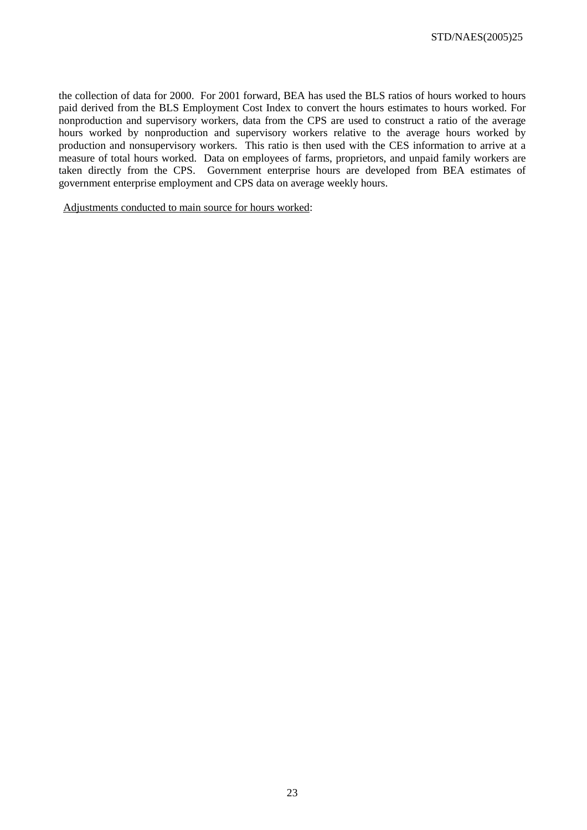the collection of data for 2000. For 2001 forward, BEA has used the BLS ratios of hours worked to hours paid derived from the BLS Employment Cost Index to convert the hours estimates to hours worked. For nonproduction and supervisory workers, data from the CPS are used to construct a ratio of the average hours worked by nonproduction and supervisory workers relative to the average hours worked by production and nonsupervisory workers. This ratio is then used with the CES information to arrive at a measure of total hours worked. Data on employees of farms, proprietors, and unpaid family workers are taken directly from the CPS. Government enterprise hours are developed from BEA estimates of government enterprise employment and CPS data on average weekly hours.

Adjustments conducted to main source for hours worked: